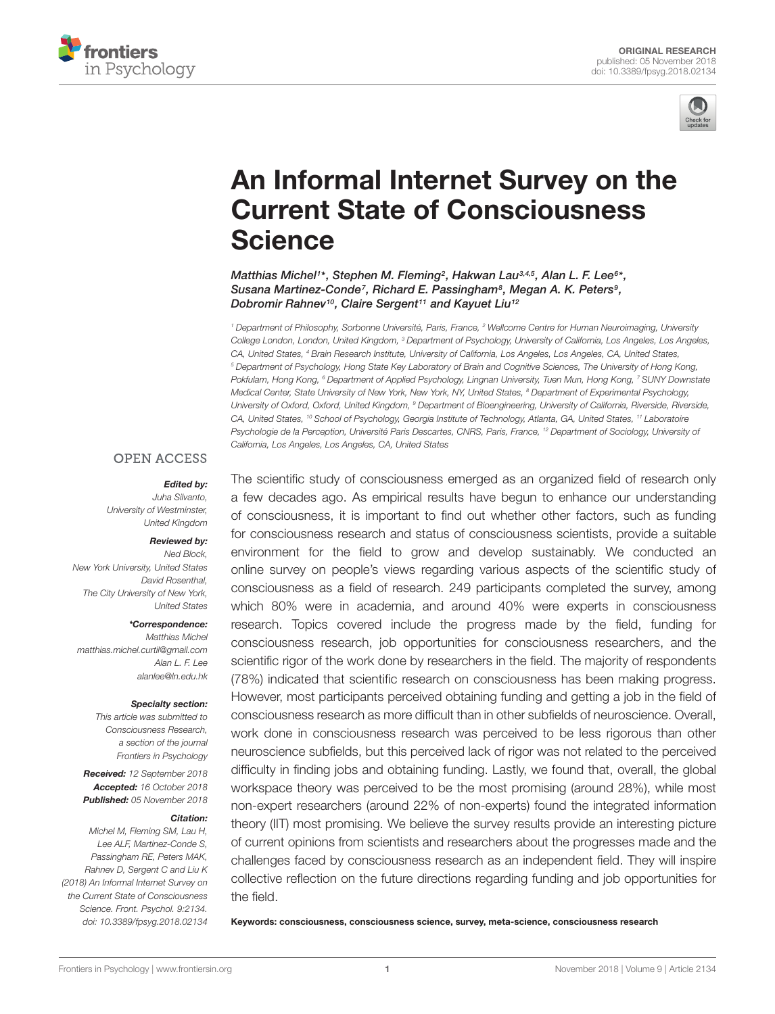



# [An Informal Internet Survey on the](https://www.frontiersin.org/articles/10.3389/fpsyg.2018.02134/full) Current State of Consciousness **Science**

[Matthias Michel](http://loop.frontiersin.org/people/525028/overview)<sup>1\*</sup>, Stephen M. Fleming<sup>2</sup>, [Hakwan Lau](http://loop.frontiersin.org/people/507/overview)<sup>3,4,5</sup>, [Alan L. F. Lee](http://loop.frontiersin.org/people/610380/overview)<sup>6\*</sup>, [Susana Martinez-Conde](http://loop.frontiersin.org/people/7284/overview)<sup>7</sup>, Richard E. Passingham<sup>8</sup>, [Megan A. K. Peters](http://loop.frontiersin.org/people/281239/overview)<sup>9</sup>, [Dobromir Rahnev](http://loop.frontiersin.org/people/12822/overview)<sup>10</sup>, Claire Sergent<sup>11</sup> and Kayuet Liu<sup>12</sup>

<sup>1</sup> Department of Philosophy, Sorbonne Université, Paris, France, <sup>2</sup> Wellcome Centre for Human Neuroimaging, University College London, London, United Kingdom, <sup>3</sup> Department of Psychology, University of California, Los Angeles, Los Angeles, CA, United States, <sup>4</sup> Brain Research Institute, University of California, Los Angeles, Los Angeles, CA, United States, <sup>5</sup> Department of Psychology, Hong State Key Laboratory of Brain and Cognitive Sciences, The University of Hong Kong, Pokfulam, Hong Kong, <sup>6</sup> Department of Applied Psychology, Lingnan University, Tuen Mun, Hong Kong, 7 SUNY Downstate Medical Center, State University of New York, New York, NY, United States, <sup>8</sup> Department of Experimental Psychology, University of Oxford, Oxford, United Kingdom, <sup>9</sup> Department of Bioengineering, University of California, Riverside, Riverside, CA, United States, <sup>10</sup> School of Psychology, Georgia Institute of Technology, Atlanta, GA, United States, <sup>11</sup> Laboratoire Psychologie de la Perception, Université Paris Descartes, CNRS, Paris, France, <sup>12</sup> Department of Sociology, University of California, Los Angeles, Los Angeles, CA, United States

#### **OPEN ACCESS**

#### Edited by:

Juha Silvanto, University of Westminster, United Kingdom

#### Reviewed by:

Ned Block, New York University, United States David Rosenthal, The City University of New York, United States

#### \*Correspondence:

Matthias Michel matthias.michel.curtil@gmail.com Alan L. F. Lee alanlee@ln.edu.hk

#### Specialty section:

This article was submitted to Consciousness Research, a section of the journal Frontiers in Psychology

Received: 12 September 2018 Accepted: 16 October 2018 Published: 05 November 2018

#### Citation:

Michel M, Fleming SM, Lau H, Lee ALF, Martinez-Conde S, Passingham RE, Peters MAK, Rahnev D, Sergent C and Liu K (2018) An Informal Internet Survey on the Current State of Consciousness Science. Front. Psychol. 9:2134. doi: [10.3389/fpsyg.2018.02134](https://doi.org/10.3389/fpsyg.2018.02134) The scientific study of consciousness emerged as an organized field of research only a few decades ago. As empirical results have begun to enhance our understanding of consciousness, it is important to find out whether other factors, such as funding for consciousness research and status of consciousness scientists, provide a suitable environment for the field to grow and develop sustainably. We conducted an online survey on people's views regarding various aspects of the scientific study of consciousness as a field of research. 249 participants completed the survey, among which 80% were in academia, and around 40% were experts in consciousness research. Topics covered include the progress made by the field, funding for consciousness research, job opportunities for consciousness researchers, and the scientific rigor of the work done by researchers in the field. The majority of respondents (78%) indicated that scientific research on consciousness has been making progress. However, most participants perceived obtaining funding and getting a job in the field of consciousness research as more difficult than in other subfields of neuroscience. Overall, work done in consciousness research was perceived to be less rigorous than other neuroscience subfields, but this perceived lack of rigor was not related to the perceived difficulty in finding jobs and obtaining funding. Lastly, we found that, overall, the global workspace theory was perceived to be the most promising (around 28%), while most non-expert researchers (around 22% of non-experts) found the integrated information theory (IIT) most promising. We believe the survey results provide an interesting picture of current opinions from scientists and researchers about the progresses made and the challenges faced by consciousness research as an independent field. They will inspire collective reflection on the future directions regarding funding and job opportunities for the field.

Keywords: consciousness, consciousness science, survey, meta-science, consciousness research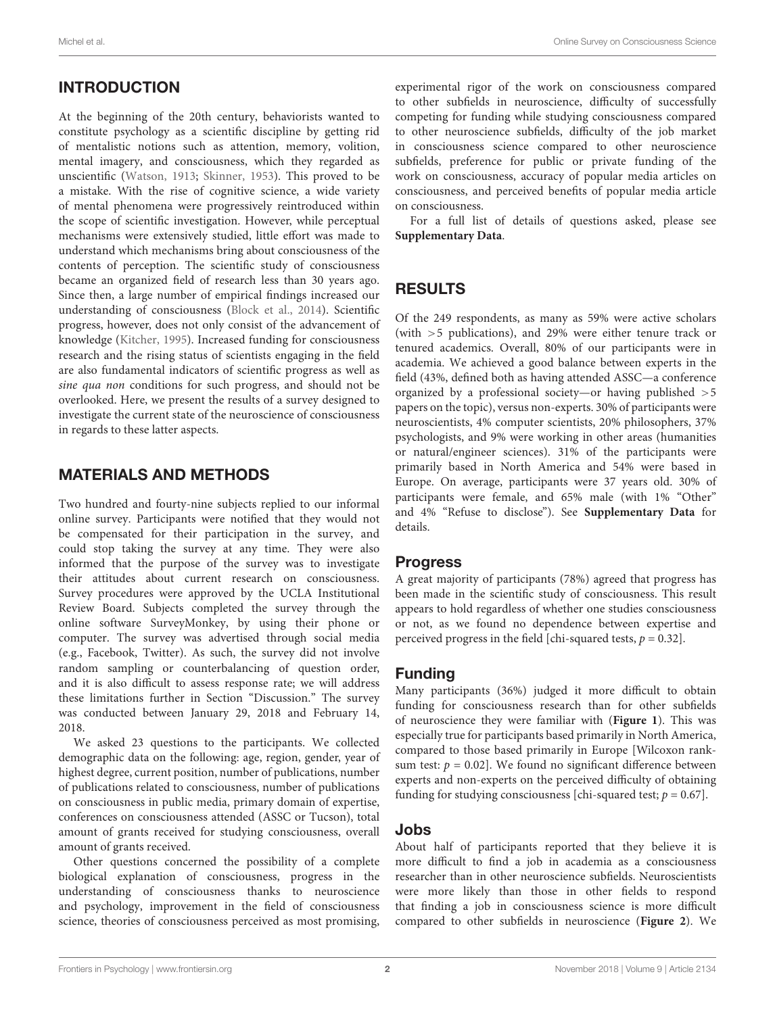# INTRODUCTION

At the beginning of the 20th century, behaviorists wanted to constitute psychology as a scientific discipline by getting rid of mentalistic notions such as attention, memory, volition, mental imagery, and consciousness, which they regarded as unscientific [\(Watson,](#page-4-0) [1913;](#page-4-0) [Skinner,](#page-4-1) [1953\)](#page-4-1). This proved to be a mistake. With the rise of cognitive science, a wide variety of mental phenomena were progressively reintroduced within the scope of scientific investigation. However, while perceptual mechanisms were extensively studied, little effort was made to understand which mechanisms bring about consciousness of the contents of perception. The scientific study of consciousness became an organized field of research less than 30 years ago. Since then, a large number of empirical findings increased our understanding of consciousness [\(Block et al.,](#page-4-2) [2014\)](#page-4-2). Scientific progress, however, does not only consist of the advancement of knowledge [\(Kitcher,](#page-4-3) [1995\)](#page-4-3). Increased funding for consciousness research and the rising status of scientists engaging in the field are also fundamental indicators of scientific progress as well as sine qua non conditions for such progress, and should not be overlooked. Here, we present the results of a survey designed to investigate the current state of the neuroscience of consciousness in regards to these latter aspects.

# MATERIALS AND METHODS

Two hundred and fourty-nine subjects replied to our informal online survey. Participants were notified that they would not be compensated for their participation in the survey, and could stop taking the survey at any time. They were also informed that the purpose of the survey was to investigate their attitudes about current research on consciousness. Survey procedures were approved by the UCLA Institutional Review Board. Subjects completed the survey through the online software SurveyMonkey, by using their phone or computer. The survey was advertised through social media (e.g., Facebook, Twitter). As such, the survey did not involve random sampling or counterbalancing of question order, and it is also difficult to assess response rate; we will address these limitations further in Section "Discussion." The survey was conducted between January 29, 2018 and February 14, 2018.

We asked 23 questions to the participants. We collected demographic data on the following: age, region, gender, year of highest degree, current position, number of publications, number of publications related to consciousness, number of publications on consciousness in public media, primary domain of expertise, conferences on consciousness attended (ASSC or Tucson), total amount of grants received for studying consciousness, overall amount of grants received.

Other questions concerned the possibility of a complete biological explanation of consciousness, progress in the understanding of consciousness thanks to neuroscience and psychology, improvement in the field of consciousness science, theories of consciousness perceived as most promising,

experimental rigor of the work on consciousness compared to other subfields in neuroscience, difficulty of successfully competing for funding while studying consciousness compared to other neuroscience subfields, difficulty of the job market in consciousness science compared to other neuroscience subfields, preference for public or private funding of the work on consciousness, accuracy of popular media articles on consciousness, and perceived benefits of popular media article on consciousness.

For a full list of details of questions asked, please see **[Supplementary Data](#page-4-4)**.

# RESULTS

Of the 249 respondents, as many as 59% were active scholars (with >5 publications), and 29% were either tenure track or tenured academics. Overall, 80% of our participants were in academia. We achieved a good balance between experts in the field (43%, defined both as having attended ASSC—a conference organized by a professional society—or having published >5 papers on the topic), versus non-experts. 30% of participants were neuroscientists, 4% computer scientists, 20% philosophers, 37% psychologists, and 9% were working in other areas (humanities or natural/engineer sciences). 31% of the participants were primarily based in North America and 54% were based in Europe. On average, participants were 37 years old. 30% of participants were female, and 65% male (with 1% "Other" and 4% "Refuse to disclose"). See **[Supplementary Data](#page-4-4)** for details.

## Progress

A great majority of participants (78%) agreed that progress has been made in the scientific study of consciousness. This result appears to hold regardless of whether one studies consciousness or not, as we found no dependence between expertise and perceived progress in the field [chi-squared tests,  $p = 0.32$ ].

## Funding

Many participants (36%) judged it more difficult to obtain funding for consciousness research than for other subfields of neuroscience they were familiar with (**[Figure 1](#page-2-0)**). This was especially true for participants based primarily in North America, compared to those based primarily in Europe [Wilcoxon ranksum test:  $p = 0.02$ ]. We found no significant difference between experts and non-experts on the perceived difficulty of obtaining funding for studying consciousness [chi-squared test;  $p = 0.67$ ].

#### Jobs

About half of participants reported that they believe it is more difficult to find a job in academia as a consciousness researcher than in other neuroscience subfields. Neuroscientists were more likely than those in other fields to respond that finding a job in consciousness science is more difficult compared to other subfields in neuroscience (**[Figure 2](#page-2-1)**). We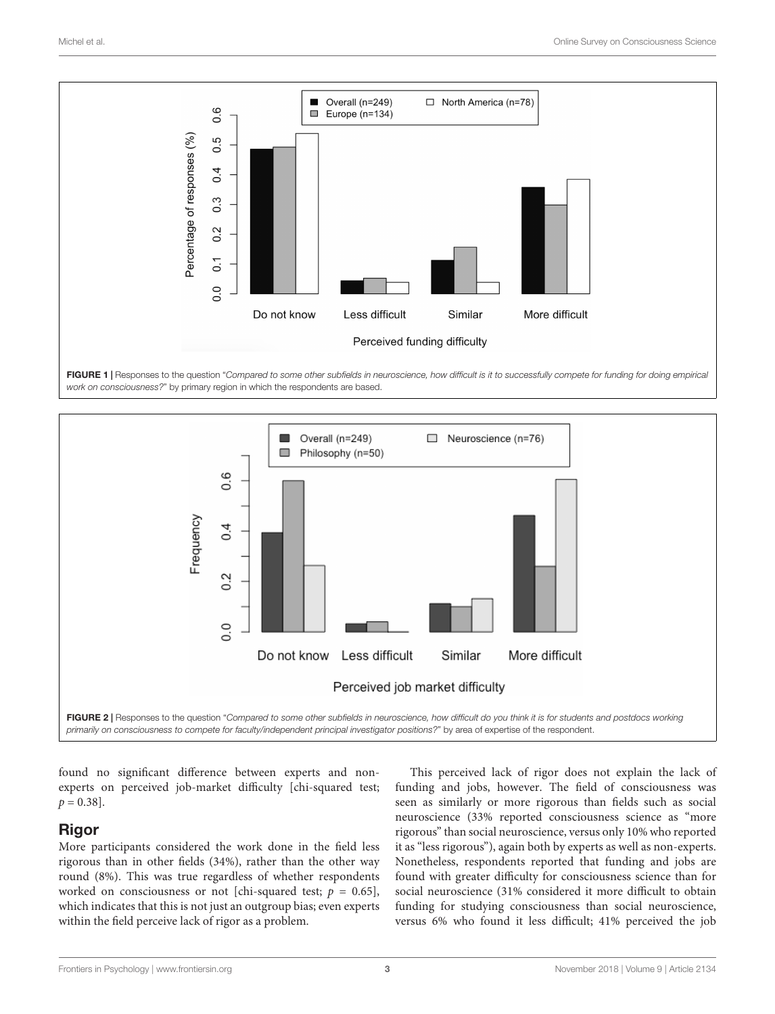

<span id="page-2-0"></span>



<span id="page-2-1"></span>found no significant difference between experts and nonexperts on perceived job-market difficulty [chi-squared test;  $p = 0.38$ ].

## Rigor

More participants considered the work done in the field less rigorous than in other fields (34%), rather than the other way round (8%). This was true regardless of whether respondents worked on consciousness or not [chi-squared test;  $p = 0.65$ ], which indicates that this is not just an outgroup bias; even experts within the field perceive lack of rigor as a problem.

This perceived lack of rigor does not explain the lack of funding and jobs, however. The field of consciousness was seen as similarly or more rigorous than fields such as social neuroscience (33% reported consciousness science as "more rigorous" than social neuroscience, versus only 10% who reported it as "less rigorous"), again both by experts as well as non-experts. Nonetheless, respondents reported that funding and jobs are found with greater difficulty for consciousness science than for social neuroscience (31% considered it more difficult to obtain funding for studying consciousness than social neuroscience, versus 6% who found it less difficult; 41% perceived the job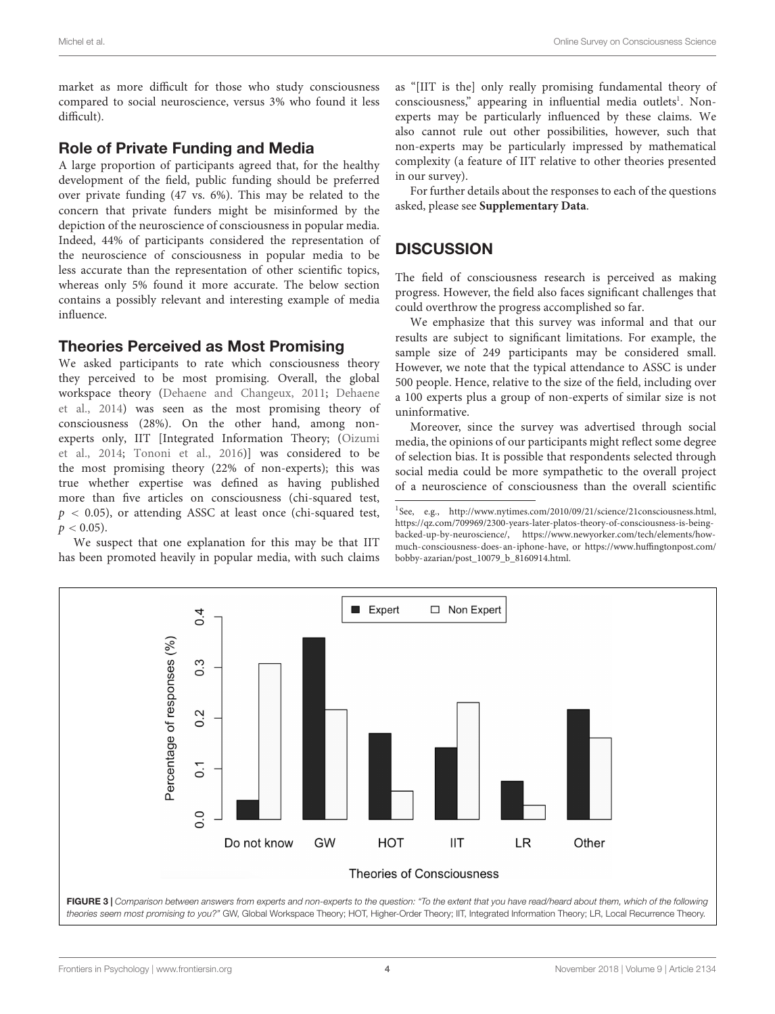market as more difficult for those who study consciousness compared to social neuroscience, versus 3% who found it less difficult).

#### Role of Private Funding and Media

A large proportion of participants agreed that, for the healthy development of the field, public funding should be preferred over private funding (47 vs. 6%). This may be related to the concern that private funders might be misinformed by the depiction of the neuroscience of consciousness in popular media. Indeed, 44% of participants considered the representation of the neuroscience of consciousness in popular media to be less accurate than the representation of other scientific topics, whereas only 5% found it more accurate. The below section contains a possibly relevant and interesting example of media influence.

#### Theories Perceived as Most Promising

We asked participants to rate which consciousness theory they perceived to be most promising. Overall, the global workspace theory [\(Dehaene and Changeux,](#page-4-5) [2011;](#page-4-5) [Dehaene](#page-4-6) [et al.,](#page-4-6) [2014\)](#page-4-6) was seen as the most promising theory of consciousness (28%). On the other hand, among nonexperts only, IIT [Integrated Information Theory; [\(Oizumi](#page-4-7) [et al.,](#page-4-7) [2014;](#page-4-7) [Tononi et al.,](#page-4-8) [2016\)](#page-4-8)] was considered to be the most promising theory (22% of non-experts); this was true whether expertise was defined as having published more than five articles on consciousness (chi-squared test,  $p$  < 0.05), or attending ASSC at least once (chi-squared test,  $p < 0.05$ ).

We suspect that one explanation for this may be that IIT has been promoted heavily in popular media, with such claims as "[IIT is the] only really promising fundamental theory of consciousness," appearing in influential media outlets<sup>[1](#page-3-0)</sup>. Nonexperts may be particularly influenced by these claims. We also cannot rule out other possibilities, however, such that non-experts may be particularly impressed by mathematical complexity (a feature of IIT relative to other theories presented in our survey).

For further details about the responses to each of the questions asked, please see **[Supplementary Data](#page-4-4)**.

# **DISCUSSION**

The field of consciousness research is perceived as making progress. However, the field also faces significant challenges that could overthrow the progress accomplished so far.

We emphasize that this survey was informal and that our results are subject to significant limitations. For example, the sample size of 249 participants may be considered small. However, we note that the typical attendance to ASSC is under 500 people. Hence, relative to the size of the field, including over a 100 experts plus a group of non-experts of similar size is not uninformative.

Moreover, since the survey was advertised through social media, the opinions of our participants might reflect some degree of selection bias. It is possible that respondents selected through social media could be more sympathetic to the overall project of a neuroscience of consciousness than the overall scientific

<span id="page-3-0"></span><sup>&</sup>lt;sup>1</sup>See, e.g., [http://www.nytimes.com/2010/09/21/science/21consciousness.html,](http://www.nytimes.com/2010/09/21/science/21consciousness.html) [https://qz.com/709969/2300-years-later-platos-theory-of-consciousness-is-being](https://qz.com/709969/2300-years-later-platos-theory-of-consciousness-is-being-backed-up-by-neuroscience/)[backed-up-by-neuroscience/,](http://www.nytimes.com/2010/09/21/science/21consciousness.html) [https://w](https://www.newyorker.com/tech/elements/how-much-consciousness-does-an-iphone-have)ww.newyorker.com/tech/elements/how[much-consciousness-does-an-iphone-have](https://www.newyorker.com/tech/elements/how-much-consciousness-does-an-iphone-have)[, or](https://www.huffingtonpost.com/bobby-azarian/post_10079_b_8160914.html) https://www.huffingtonpost.com/ [bobby-azarian/post\\_10079\\_b\\_8160914.html.](https://www.huffingtonpost.com/bobby-azarian/post_10079_b_8160914.html)

<span id="page-3-1"></span>